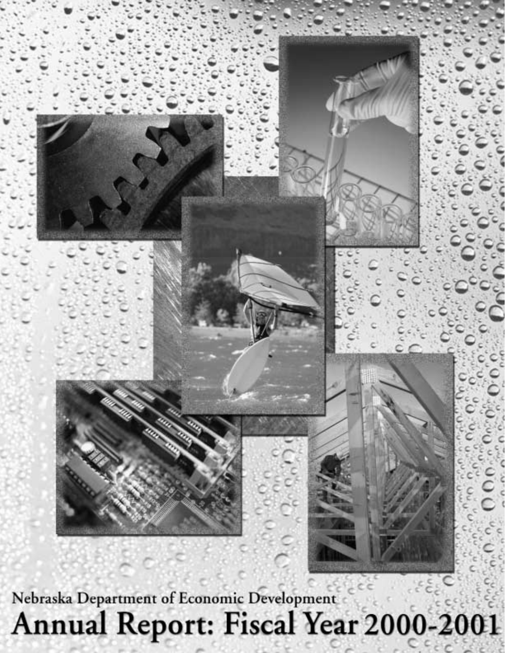

Nebraska Department of Economic Development Annual Report: Fiscal Year 2000-2001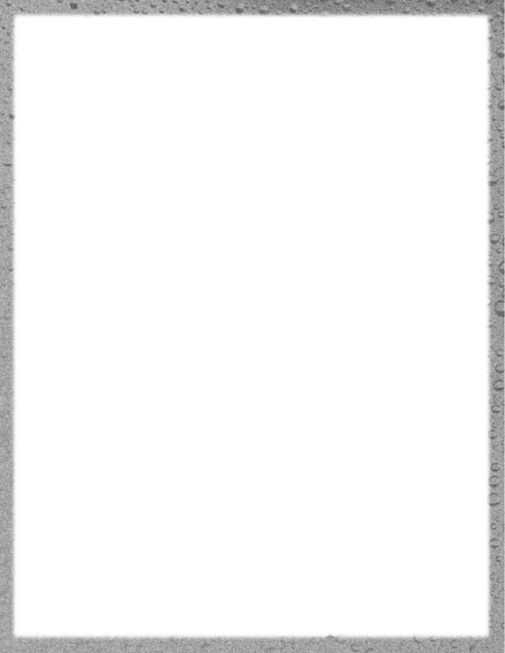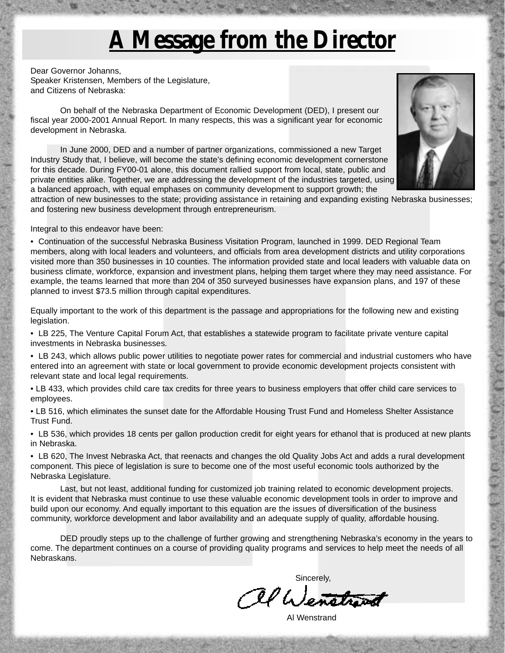# *A Message from the Director*

Dear Governor Johanns, Speaker Kristensen, Members of the Legislature, and Citizens of Nebraska:

On behalf of the Nebraska Department of Economic Development (DED), I present our fiscal year 2000-2001 Annual Report. In many respects, this was a significant year for economic development in Nebraska.

In June 2000, DED and a number of partner organizations, commissioned a new Target Industry Study that, I believe, will become the state's defining economic development cornerstone for this decade. During FY00-01 alone, this document rallied support from local, state, public and private entities alike. Together, we are addressing the development of the industries targeted, using a balanced approach, with equal emphases on community development to support growth; the



attraction of new businesses to the state; providing assistance in retaining and expanding existing Nebraska businesses; and fostering new business development through entrepreneurism.

Integral to this endeavor have been:

• Continuation of the successful Nebraska Business Visitation Program, launched in 1999. DED Regional Team members, along with local leaders and volunteers, and officials from area development districts and utility corporations visited more than 350 businesses in 10 counties. The information provided state and local leaders with valuable data on business climate, workforce, expansion and investment plans, helping them target where they may need assistance. For example, the teams learned that more than 204 of 350 surveyed businesses have expansion plans, and 197 of these planned to invest \$73.5 million through capital expenditures.

Equally important to the work of this department is the passage and appropriations for the following new and existing legislation.

• LB 225, The Venture Capital Forum Act, that establishes a statewide program to facilitate private venture capital investments in Nebraska businesses.

• LB 243, which allows public power utilities to negotiate power rates for commercial and industrial customers who have entered into an agreement with state or local government to provide economic development projects consistent with relevant state and local legal requirements.

• LB 433, which provides child care tax credits for three years to business employers that offer child care services to employees.

• LB 516, which eliminates the sunset date for the Affordable Housing Trust Fund and Homeless Shelter Assistance Trust Fund.

• LB 536, which provides 18 cents per gallon production credit for eight years for ethanol that is produced at new plants in Nebraska.

• LB 620, The Invest Nebraska Act, that reenacts and changes the old Quality Jobs Act and adds a rural development component. This piece of legislation is sure to become one of the most useful economic tools authorized by the Nebraska Legislature.

Last, but not least, additional funding for customized job training related to economic development projects. It is evident that Nebraska must continue to use these valuable economic development tools in order to improve and build upon our economy. And equally important to this equation are the issues of diversification of the business community, workforce development and labor availability and an adequate supply of quality, affordable housing.

DED proudly steps up to the challenge of further growing and strengthening Nebraska's economy in the years to come. The department continues on a course of providing quality programs and services to help meet the needs of all Nebraskans.

Sincerely,

Al Wenstrand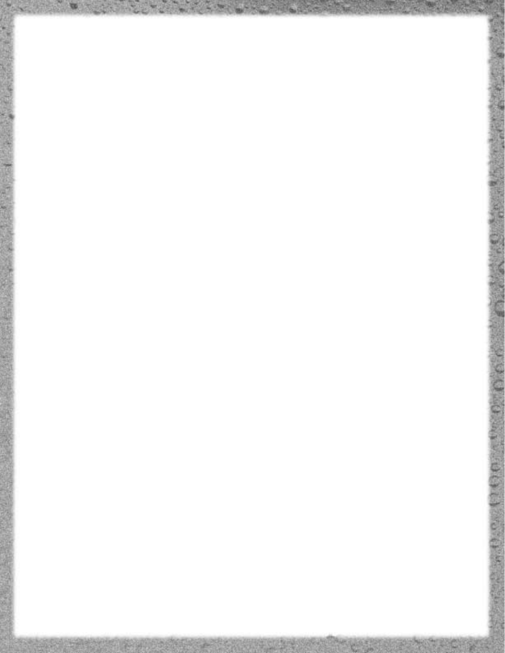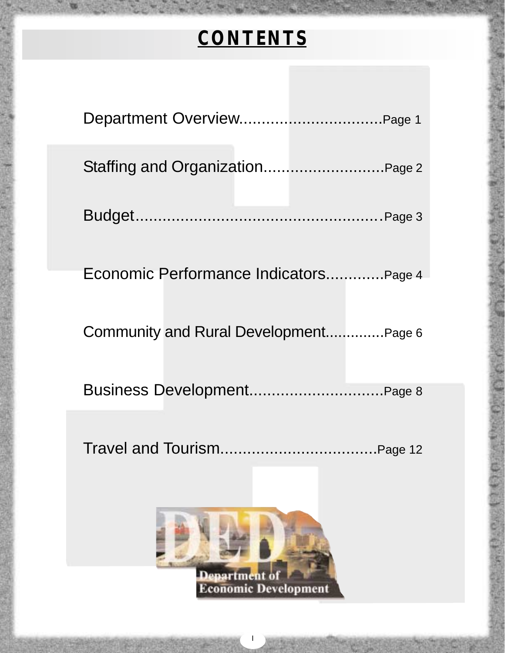# *CONTENTS*

| Economic Performance IndicatorsPage 4        |  |
|----------------------------------------------|--|
|                                              |  |
|                                              |  |
|                                              |  |
| Department of<br><b>Economic Development</b> |  |

EO DEP

以外的情况

**CONSIGNATION** 

**FROM** 

I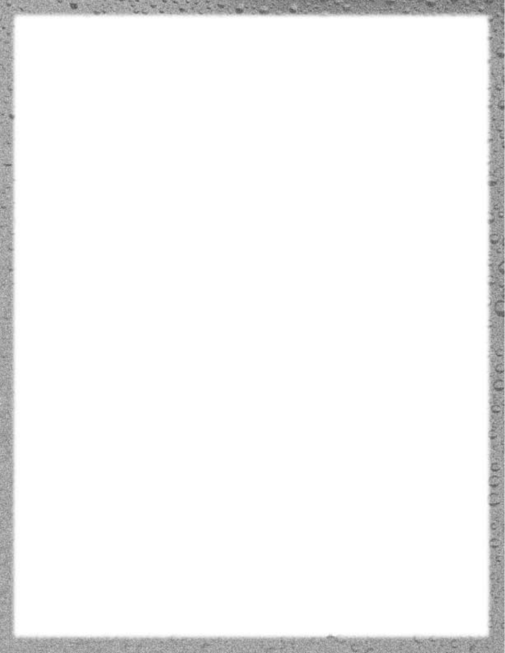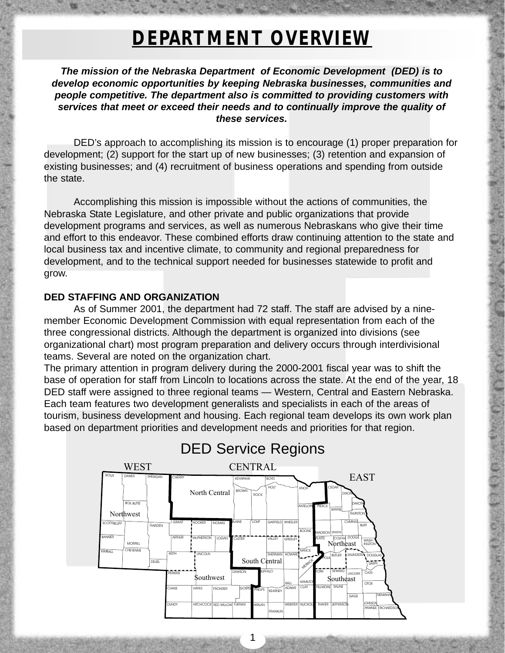## *DEPARTMENT OVERVIEW*

*The mission of the Nebraska Department of Economic Development (DED) is to develop economic opportunities by keeping Nebraska businesses, communities and people competitive. The department also is committed to providing customers with services that meet or exceed their needs and to continually improve the quality of these services.*

DED's approach to accomplishing its mission is to encourage (1) proper preparation for development; (2) support for the start up of new businesses; (3) retention and expansion of existing businesses; and (4) recruitment of business operations and spending from outside the state.

Accomplishing this mission is impossible without the actions of communities, the Nebraska State Legislature, and other private and public organizations that provide development programs and services, as well as numerous Nebraskans who give their time and effort to this endeavor. These combined efforts draw continuing attention to the state and local business tax and incentive climate, to community and regional preparedness for development, and to the technical support needed for businesses statewide to profit and grow.

## **DED STAFFING AND ORGANIZATION**

As of Summer 2001, the department had 72 staff. The staff are advised by a ninemember Economic Development Commission with equal representation from each of the three congressional districts. Although the department is organized into divisions (see organizational chart) most program preparation and delivery occurs through interdivisional teams. Several are noted on the organization chart.

The primary attention in program delivery during the 2000-2001 fiscal year was to shift the base of operation for staff from Lincoln to locations across the state. At the end of the year, 18 DED staff were assigned to three regional teams — Western, Central and Eastern Nebraska. Each team features two development generalists and specialists in each of the areas of tourism, business development and housing. Each regional team develops its own work plan based on department priorities and development needs and priorities for that region.



1

## DED Service Regions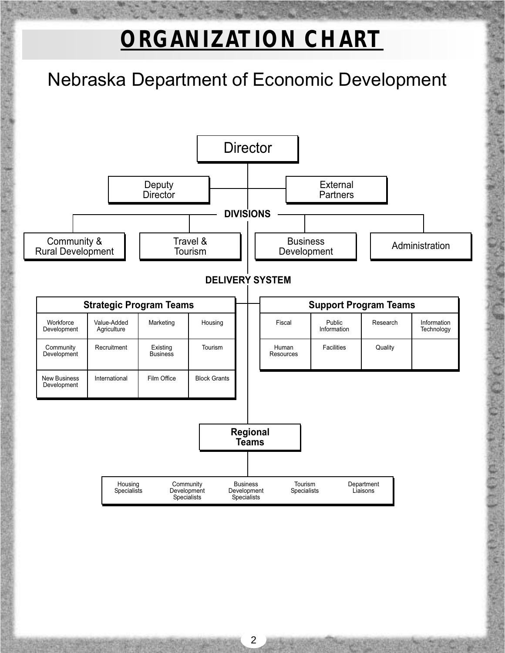# **ORGANIZATION CHART**

¥

ÿ

Ê

**COOL** 

**Town** 

## Nebraska Department of Economic Development



 $\overline{2}$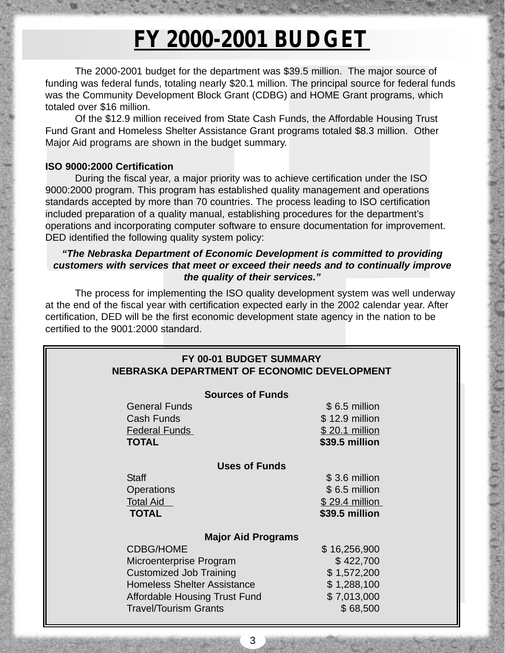# *FY 2000-2001 BUDGET*

The 2000-2001 budget for the department was \$39.5 million. The major source of funding was federal funds, totaling nearly \$20.1 million. The principal source for federal funds was the Community Development Block Grant (CDBG) and HOME Grant programs, which totaled over \$16 million.

Of the \$12.9 million received from State Cash Funds, the Affordable Housing Trust Fund Grant and Homeless Shelter Assistance Grant programs totaled \$8.3 million. Other Major Aid programs are shown in the budget summary.

## **ISO 9000:2000 Certification**

During the fiscal year, a major priority was to achieve certification under the ISO 9000:2000 program. This program has established quality management and operations standards accepted by more than 70 countries. The process leading to ISO certification included preparation of a quality manual, establishing procedures for the department's operations and incorporating computer software to ensure documentation for improvement. DED identified the following quality system policy:

## *"The Nebraska Department of Economic Development is committed to providing customers with services that meet or exceed their needs and to continually improve the quality of their services."*

The process for implementing the ISO quality development system was well underway at the end of the fiscal year with certification expected early in the 2002 calendar year. After certification, DED will be the first economic development state agency in the nation to be certified to the 9001:2000 standard.

| FY 00-01 BUDGET SUMMARY<br><b>NEBRASKA DEPARTMENT OF ECONOMIC DEVELOPMENT</b> |                 |  |  |  |  |  |  |
|-------------------------------------------------------------------------------|-----------------|--|--|--|--|--|--|
| <b>Sources of Funds</b>                                                       |                 |  |  |  |  |  |  |
| <b>General Funds</b>                                                          | $$6.5$ million  |  |  |  |  |  |  |
| <b>Cash Funds</b>                                                             | \$12.9 million  |  |  |  |  |  |  |
| <b>Federal Funds</b>                                                          | \$ 20.1 million |  |  |  |  |  |  |
| <b>TOTAL</b>                                                                  | \$39.5 million  |  |  |  |  |  |  |
| <b>Uses of Funds</b>                                                          |                 |  |  |  |  |  |  |
| <b>Staff</b>                                                                  | \$3.6 million   |  |  |  |  |  |  |
| Operations                                                                    | \$6.5 million   |  |  |  |  |  |  |
| <b>Total Aid</b>                                                              | $$29.4$ million |  |  |  |  |  |  |
| <b>TOTAL</b>                                                                  | \$39.5 million  |  |  |  |  |  |  |
| <b>Major Aid Programs</b>                                                     |                 |  |  |  |  |  |  |
| <b>CDBG/HOME</b>                                                              | \$16,256,900    |  |  |  |  |  |  |
| Microenterprise Program                                                       | \$422,700       |  |  |  |  |  |  |
| <b>Customized Job Training</b>                                                | \$1,572,200     |  |  |  |  |  |  |
| <b>Homeless Shelter Assistance</b>                                            | \$1,288,100     |  |  |  |  |  |  |
| <b>Affordable Housing Trust Fund</b>                                          | \$7,013,000     |  |  |  |  |  |  |
| <b>Travel/Tourism Grants</b>                                                  | \$68,500        |  |  |  |  |  |  |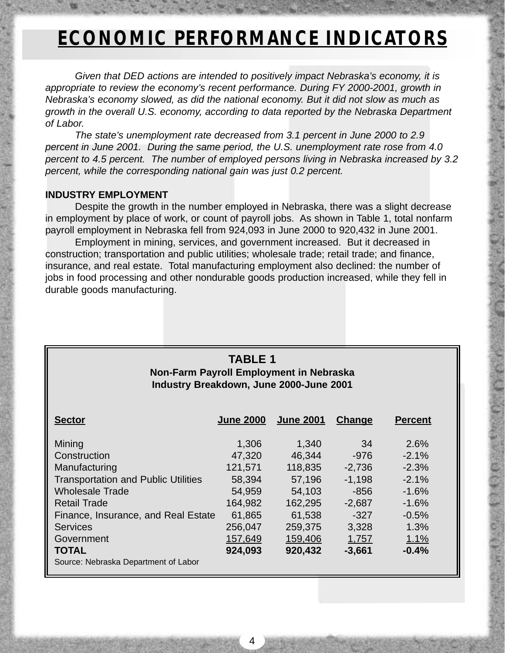## *ECONOMIC PERFORMANCE INDICATORS*

*Given that DED actions are intended to positively impact Nebraska's economy, it is appropriate to review the economy's recent performance. During FY 2000-2001, growth in Nebraska's economy slowed, as did the national economy. But it did not slow as much as growth in the overall U.S. economy, according to data reported by the Nebraska Department of Labor.*

*The state's unemployment rate decreased from 3.1 percent in June 2000 to 2.9 percent in June 2001. During the same period, the U.S. unemployment rate rose from 4.0 percent to 4.5 percent. The number of employed persons living in Nebraska increased by 3.2 percent, while the corresponding national gain was just 0.2 percent.*

#### **INDUSTRY EMPLOYMENT**

Despite the growth in the number employed in Nebraska, there was a slight decrease in employment by place of work, or count of payroll jobs. As shown in Table 1, total nonfarm payroll employment in Nebraska fell from 924,093 in June 2000 to 920,432 in June 2001.

Employment in mining, services, and government increased. But it decreased in construction; transportation and public utilities; wholesale trade; retail trade; and finance, insurance, and real estate. Total manufacturing employment also declined: the number of jobs in food processing and other nondurable goods production increased, while they fell in durable goods manufacturing.

| <b>TABLE 1</b><br>Non-Farm Payroll Employment in Nebraska<br>Industry Breakdown, June 2000-June 2001                                                                                                           |                                                                                           |                                                                                           |                                                                                        |                                                                                        |  |  |
|----------------------------------------------------------------------------------------------------------------------------------------------------------------------------------------------------------------|-------------------------------------------------------------------------------------------|-------------------------------------------------------------------------------------------|----------------------------------------------------------------------------------------|----------------------------------------------------------------------------------------|--|--|
| <b>Sector</b>                                                                                                                                                                                                  | <b>June 2000</b>                                                                          | <b>June 2001</b>                                                                          | <b>Change</b>                                                                          | <b>Percent</b>                                                                         |  |  |
| Mining<br>Construction<br>Manufacturing<br><b>Transportation and Public Utilities</b><br><b>Wholesale Trade</b><br><b>Retail Trade</b><br>Finance, Insurance, and Real Estate<br><b>Services</b><br>Government | 1,306<br>47,320<br>121,571<br>58,394<br>54,959<br>164,982<br>61,865<br>256,047<br>157,649 | 1,340<br>46,344<br>118,835<br>57,196<br>54,103<br>162,295<br>61,538<br>259,375<br>159,406 | 34<br>$-976$<br>$-2,736$<br>$-1,198$<br>$-856$<br>$-2,687$<br>$-327$<br>3,328<br>1,757 | 2.6%<br>$-2.1%$<br>$-2.3%$<br>$-2.1%$<br>$-1.6%$<br>$-1.6%$<br>$-0.5%$<br>1.3%<br>1.1% |  |  |
| <b>TOTAL</b><br>Source: Nebraska Department of Labor                                                                                                                                                           | 924,093                                                                                   | 920,432                                                                                   | $-3,661$                                                                               | $-0.4%$                                                                                |  |  |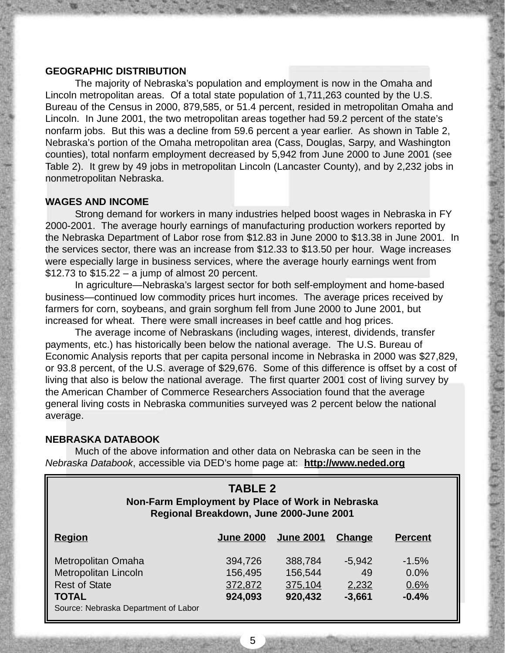#### **GEOGRAPHIC DISTRIBUTION**

The majority of Nebraska's population and employment is now in the Omaha and Lincoln metropolitan areas. Of a total state population of 1,711,263 counted by the U.S. Bureau of the Census in 2000, 879,585, or 51.4 percent, resided in metropolitan Omaha and Lincoln. In June 2001, the two metropolitan areas together had 59.2 percent of the state's nonfarm jobs. But this was a decline from 59.6 percent a year earlier. As shown in Table 2, Nebraska's portion of the Omaha metropolitan area (Cass, Douglas, Sarpy, and Washington counties), total nonfarm employment decreased by 5,942 from June 2000 to June 2001 (see Table 2). It grew by 49 jobs in metropolitan Lincoln (Lancaster County), and by 2,232 jobs in nonmetropolitan Nebraska.

## **WAGES AND INCOME**

Strong demand for workers in many industries helped boost wages in Nebraska in FY 2000-2001. The average hourly earnings of manufacturing production workers reported by the Nebraska Department of Labor rose from \$12.83 in June 2000 to \$13.38 in June 2001. In the services sector, there was an increase from \$12.33 to \$13.50 per hour. Wage increases were especially large in business services, where the average hourly earnings went from  $$12.73$  to  $$15.22 - a$  jump of almost 20 percent.

In agriculture—Nebraska's largest sector for both self-employment and home-based business—continued low commodity prices hurt incomes. The average prices received by farmers for corn, soybeans, and grain sorghum fell from June 2000 to June 2001, but increased for wheat. There were small increases in beef cattle and hog prices.

The average income of Nebraskans (including wages, interest, dividends, transfer payments, etc.) has historically been below the national average. The U.S. Bureau of Economic Analysis reports that per capita personal income in Nebraska in 2000 was \$27,829, or 93.8 percent, of the U.S. average of \$29,676. Some of this difference is offset by a cost of living that also is below the national average. The first quarter 2001 cost of living survey by the American Chamber of Commerce Researchers Association found that the average general living costs in Nebraska communities surveyed was 2 percent below the national average.

#### **NEBRASKA DATABOOK**

Much of the above information and other data on Nebraska can be seen in the *Nebraska Databook*, accessible via DED's home page at: **http://www.neded.org**

| <b>TABLE 2</b><br>Non-Farm Employment by Place of Work in Nebraska<br>Regional Breakdown, June 2000-June 2001 |                    |                    |                |                 |  |  |  |  |
|---------------------------------------------------------------------------------------------------------------|--------------------|--------------------|----------------|-----------------|--|--|--|--|
| <b>Region</b>                                                                                                 | <b>June 2000</b>   | <b>June 2001</b>   | Change         | <b>Percent</b>  |  |  |  |  |
| Metropolitan Omaha<br>Metropolitan Lincoln                                                                    | 394,726<br>156,495 | 388,784<br>156,544 | $-5,942$<br>49 | $-1.5%$<br>0.0% |  |  |  |  |

Rest of State 372,872 375,104 2,232 0.6%

**TOTAL 924,093 920,432 -3,661 -0.4%** Source: Nebraska Department of Labor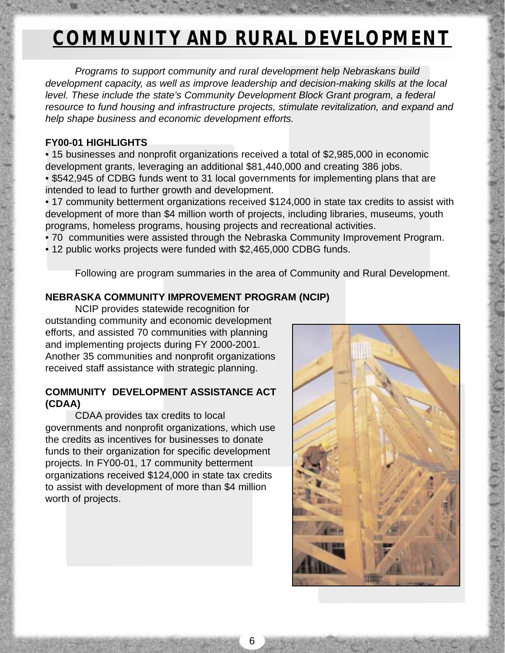# *COMMUNITY AND RURAL DEVELOPMENT*

*Programs to support community and rural development help Nebraskans build development capacity, as well as improve leadership and decision-making skills at the local level. These include the state's Community Development Block Grant program, a federal resource to fund housing and infrastructure projects, stimulate revitalization, and expand and help shape business and economic development efforts.*

## **FY00-01 HIGHLIGHTS**

• 15 businesses and nonprofit organizations received a total of \$2,985,000 in economic development grants, leveraging an additional \$81,440,000 and creating 386 jobs. • \$542,945 of CDBG funds went to 31 local governments for implementing plans that are intended to lead to further growth and development.

• 17 community betterment organizations received \$124,000 in state tax credits to assist with development of more than \$4 million worth of projects, including libraries, museums, youth programs, homeless programs, housing projects and recreational activities.

• 70 communities were assisted through the Nebraska Community Improvement Program.

• 12 public works projects were funded with \$2,465,000 CDBG funds.

Following are program summaries in the area of Community and Rural Development.

## **NEBRASKA COMMUNITY IMPROVEMENT PROGRAM (NCIP)**

NCIP provides statewide recognition for outstanding community and economic development efforts, and assisted 70 communities with planning and implementing projects during FY 2000-2001. Another 35 communities and nonprofit organizations received staff assistance with strategic planning.

## **COMMUNITY DEVELOPMENT ASSISTANCE ACT (CDAA)**

CDAA provides tax credits to local governments and nonprofit organizations, which use the credits as incentives for businesses to donate funds to their organization for specific development projects. In FY00-01, 17 community betterment organizations received \$124,000 in state tax credits to assist with development of more than \$4 million worth of projects.

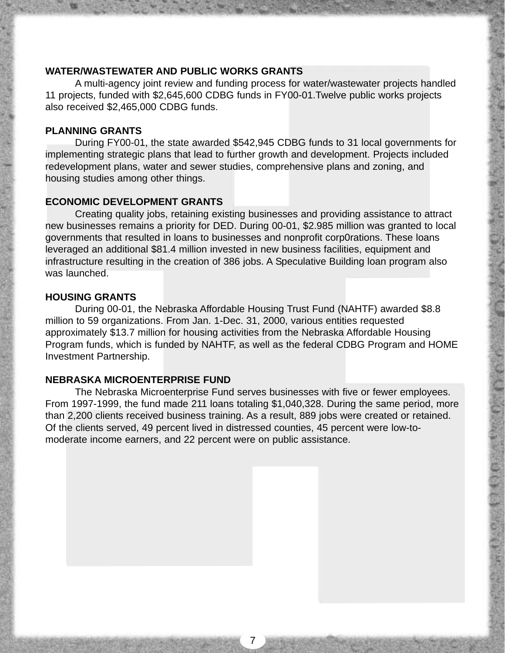## **WATER/WASTEWATER AND PUBLIC WORKS GRANTS**

A multi-agency joint review and funding process for water/wastewater projects handled 11 projects, funded with \$2,645,600 CDBG funds in FY00-01.Twelve public works projects also received \$2,465,000 CDBG funds.

#### **PLANNING GRANTS**

During FY00-01, the state awarded \$542,945 CDBG funds to 31 local governments for implementing strategic plans that lead to further growth and development. Projects included redevelopment plans, water and sewer studies, comprehensive plans and zoning, and housing studies among other things.

## **ECONOMIC DEVELOPMENT GRANTS**

Creating quality jobs, retaining existing businesses and providing assistance to attract new businesses remains a priority for DED. During 00-01, \$2.985 million was granted to local governments that resulted in loans to businesses and nonprofit corp0rations. These loans leveraged an additional \$81.4 million invested in new business facilities, equipment and infrastructure resulting in the creation of 386 jobs. A Speculative Building loan program also was launched.

### **HOUSING GRANTS**

During 00-01, the Nebraska Affordable Housing Trust Fund (NAHTF) awarded \$8.8 million to 59 organizations. From Jan. 1-Dec. 31, 2000, various entities requested approximately \$13.7 million for housing activities from the Nebraska Affordable Housing Program funds, which is funded by NAHTF, as well as the federal CDBG Program and HOME Investment Partnership.

## **NEBRASKA MICROENTERPRISE FUND**

The Nebraska Microenterprise Fund serves businesses with five or fewer employees. From 1997-1999, the fund made 211 loans totaling \$1,040,328. During the same period, more than 2,200 clients received business training. As a result, 889 jobs were created or retained. Of the clients served, 49 percent lived in distressed counties, 45 percent were low-tomoderate income earners, and 22 percent were on public assistance.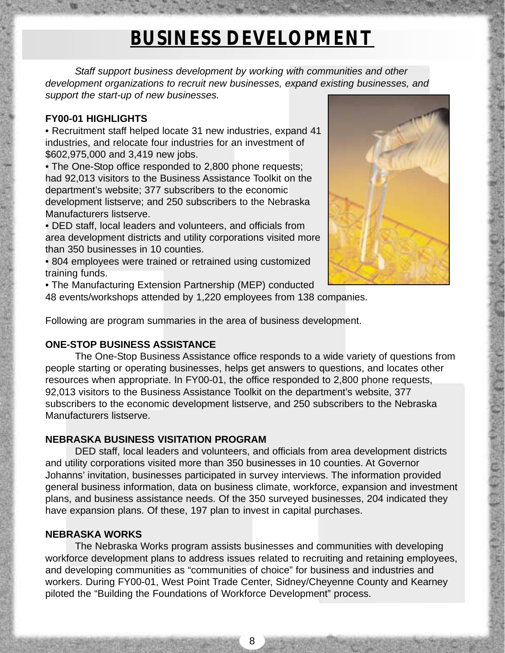# *BUSINESS DEVELOPMENT*

*Staff support business development by working with communities and other development organizations to recruit new businesses, expand existing businesses, and support the start-up of new businesses.*

## **FY00-01 HIGHLIGHTS**

• Recruitment staff helped locate 31 new industries, expand 41 industries, and relocate four industries for an investment of \$602,975,000 and 3,419 new jobs.

• The One-Stop office responded to 2,800 phone requests; had 92,013 visitors to the Business Assistance Toolkit on the department's website; 377 subscribers to the economic development listserve; and 250 subscribers to the Nebraska Manufacturers listserve.

• DED staff, local leaders and volunteers, and officials from area development districts and utility corporations visited more than 350 businesses in 10 counties.

• 804 employees were trained or retrained using customized training funds.

• The Manufacturing Extension Partnership (MEP) conducted

48 events/workshops attended by 1,220 employees from 138 companies.

Following are program summaries in the area of business development.

## **ONE-STOP BUSINESS ASSISTANCE**

The One-Stop Business Assistance office responds to a wide variety of questions from people starting or operating businesses, helps get answers to questions, and locates other resources when appropriate. In FY00-01, the office responded to 2,800 phone requests, 92,013 visitors to the Business Assistance Toolkit on the department's website, 377 subscribers to the economic development listserve, and 250 subscribers to the Nebraska Manufacturers listserve.

## **NEBRASKA BUSINESS VISITATION PROGRAM**

DED staff, local leaders and volunteers, and officials from area development districts and utility corporations visited more than 350 businesses in 10 counties. At Governor Johanns' invitation, businesses participated in survey interviews. The information provided general business information, data on business climate, workforce, expansion and investment plans, and business assistance needs. Of the 350 surveyed businesses, 204 indicated they have expansion plans. Of these, 197 plan to invest in capital purchases.

## **NEBRASKA WORKS**

The Nebraska Works program assists businesses and communities with developing workforce development plans to address issues related to recruiting and retaining employees, and developing communities as "communities of choice" for business and industries and workers. During FY00-01, West Point Trade Center, Sidney/Cheyenne County and Kearney piloted the "Building the Foundations of Workforce Development" process.

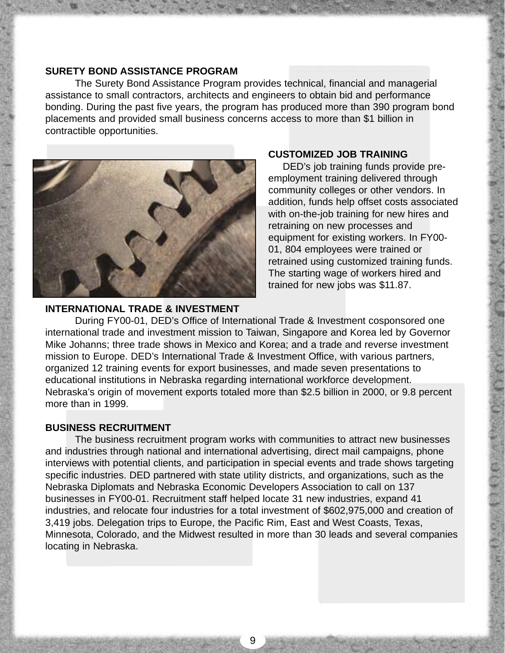## **SURETY BOND ASSISTANCE PROGRAM**

The Surety Bond Assistance Program provides technical, financial and managerial assistance to small contractors, architects and engineers to obtain bid and performance bonding. During the past five years, the program has produced more than 390 program bond placements and provided small business concerns access to more than \$1 billion in contractible opportunities.



## **CUSTOMIZED JOB TRAINING**

DED's job training funds provide preemployment training delivered through community colleges or other vendors. In addition, funds help offset costs associated with on-the-job training for new hires and retraining on new processes and equipment for existing workers. In FY00- 01, 804 employees were trained or retrained using customized training funds. The starting wage of workers hired and trained for new jobs was \$11.87.

## **INTERNATIONAL TRADE & INVESTMENT**

During FY00-01, DED's Office of International Trade & Investment cosponsored one international trade and investment mission to Taiwan, Singapore and Korea led by Governor Mike Johanns; three trade shows in Mexico and Korea; and a trade and reverse investment mission to Europe. DED's International Trade & Investment Office, with various partners, organized 12 training events for export businesses, and made seven presentations to educational institutions in Nebraska regarding international workforce development. Nebraska's origin of movement exports totaled more than \$2.5 billion in 2000, or 9.8 percent more than in 1999.

## **BUSINESS RECRUITMENT**

The business recruitment program works with communities to attract new businesses and industries through national and international advertising, direct mail campaigns, phone interviews with potential clients, and participation in special events and trade shows targeting specific industries. DED partnered with state utility districts, and organizations, such as the Nebraska Diplomats and Nebraska Economic Developers Association to call on 137 businesses in FY00-01. Recruitment staff helped locate 31 new industries, expand 41 industries, and relocate four industries for a total investment of \$602,975,000 and creation of 3,419 jobs. Delegation trips to Europe, the Pacific Rim, East and West Coasts, Texas, Minnesota, Colorado, and the Midwest resulted in more than 30 leads and several companies locating in Nebraska.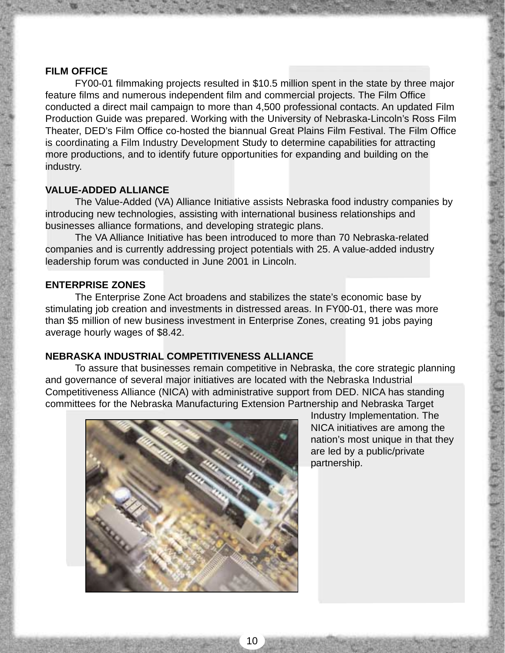#### **FILM OFFICE**

FY00-01 filmmaking projects resulted in \$10.5 million spent in the state by three major feature films and numerous independent film and commercial projects. The Film Office conducted a direct mail campaign to more than 4,500 professional contacts. An updated Film Production Guide was prepared. Working with the University of Nebraska-Lincoln's Ross Film Theater, DED's Film Office co-hosted the biannual Great Plains Film Festival. The Film Office is coordinating a Film Industry Development Study to determine capabilities for attracting more productions, and to identify future opportunities for expanding and building on the industry.

## **VALUE-ADDED ALLIANCE**

The Value-Added (VA) Alliance Initiative assists Nebraska food industry companies by introducing new technologies, assisting with international business relationships and businesses alliance formations, and developing strategic plans.

The VA Alliance Initiative has been introduced to more than 70 Nebraska-related companies and is currently addressing project potentials with 25. A value-added industry leadership forum was conducted in June 2001 in Lincoln.

## **ENTERPRISE ZONES**

The Enterprise Zone Act broadens and stabilizes the state's economic base by stimulating job creation and investments in distressed areas. In FY00-01, there was more than \$5 million of new business investment in Enterprise Zones, creating 91 jobs paying average hourly wages of \$8.42.

## **NEBRASKA INDUSTRIAL COMPETITIVENESS ALLIANCE**

To assure that businesses remain competitive in Nebraska, the core strategic planning and governance of several major initiatives are located with the Nebraska Industrial Competitiveness Alliance (NICA) with administrative support from DED. NICA has standing committees for the Nebraska Manufacturing Extension Partnership and Nebraska Target



Industry Implementation. The NICA initiatives are among the nation's most unique in that they are led by a public/private partnership.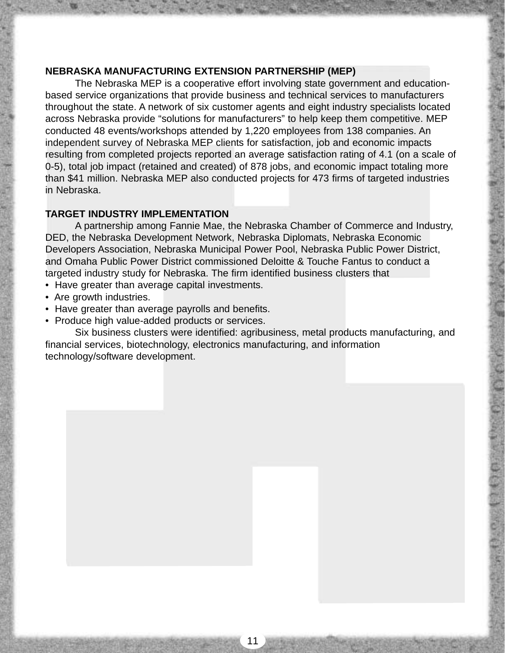## **NEBRASKA MANUFACTURING EXTENSION PARTNERSHIP (MEP)**

The Nebraska MEP is a cooperative effort involving state government and educationbased service organizations that provide business and technical services to manufacturers throughout the state. A network of six customer agents and eight industry specialists located across Nebraska provide "solutions for manufacturers" to help keep them competitive. MEP conducted 48 events/workshops attended by 1,220 employees from 138 companies. An independent survey of Nebraska MEP clients for satisfaction, job and economic impacts resulting from completed projects reported an average satisfaction rating of 4.1 (on a scale of 0-5), total job impact (retained and created) of 878 jobs, and economic impact totaling more than \$41 million. Nebraska MEP also conducted projects for 473 firms of targeted industries in Nebraska.

## **TARGET INDUSTRY IMPLEMENTATION**

A partnership among Fannie Mae, the Nebraska Chamber of Commerce and Industry, DED, the Nebraska Development Network, Nebraska Diplomats, Nebraska Economic Developers Association, Nebraska Municipal Power Pool, Nebraska Public Power District, and Omaha Public Power District commissioned Deloitte & Touche Fantus to conduct a targeted industry study for Nebraska. The firm identified business clusters that

- Have greater than average capital investments.
- Are growth industries.
- Have greater than average payrolls and benefits.
- Produce high value-added products or services.

Six business clusters were identified: agribusiness, metal products manufacturing, and financial services, biotechnology, electronics manufacturing, and information technology/software development.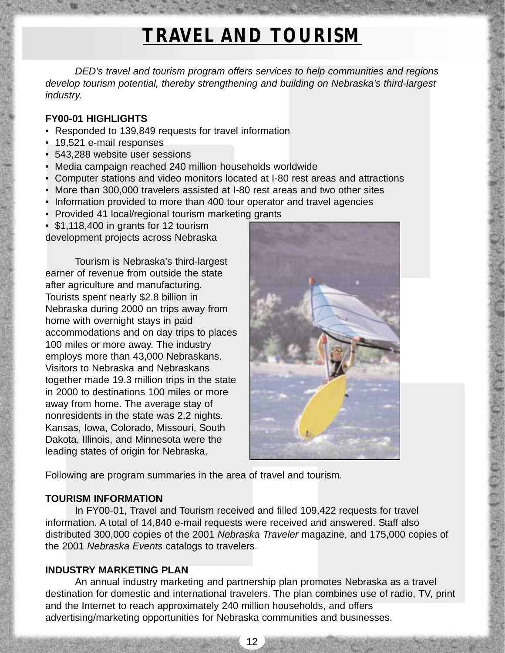# *TRAVEL AND TOURISM*

*DED's travel and tourism program offers services to help communities and regions develop tourism potential, thereby strengthening and building on Nebraska's third-largest industry.*

## **FY00-01 HIGHLIGHTS**

- Responded to 139,849 requests for travel information
- 19,521 e-mail responses
- 543,288 website user sessions
- Media campaign reached 240 million households worldwide
- Computer stations and video monitors located at I-80 rest areas and attractions
- More than 300,000 travelers assisted at I-80 rest areas and two other sites
- Information provided to more than 400 tour operator and travel agencies
- Provided 41 local/regional tourism marketing grants

• \$1,118,400 in grants for 12 tourism development projects across Nebraska

Tourism is Nebraska's third-largest earner of revenue from outside the state after agriculture and manufacturing. Tourists spent nearly \$2.8 billion in Nebraska during 2000 on trips away from home with overnight stays in paid accommodations and on day trips to places 100 miles or more away. The industry employs more than 43,000 Nebraskans. Visitors to Nebraska and Nebraskans together made 19.3 million trips in the state in 2000 to destinations 100 miles or more away from home. The average stay of nonresidents in the state was 2.2 nights. Kansas, Iowa, Colorado, Missouri, South Dakota, Illinois, and Minnesota were the leading states of origin for Nebraska.



Following are program summaries in the area of travel and tourism.

## **TOURISM INFORMATION**

In FY00-01, Travel and Tourism received and filled 109,422 requests for travel information. A total of 14,840 e-mail requests were received and answered. Staff also distributed 300,000 copies of the 2001 *Nebraska Traveler* magazine, and 175,000 copies of the 2001 *Nebraska Events* catalogs to travelers.

## **INDUSTRY MARKETING PLAN**

An annual industry marketing and partnership plan promotes Nebraska as a travel destination for domestic and international travelers. The plan combines use of radio, TV, print and the Internet to reach approximately 240 million households, and offers advertising/marketing opportunities for Nebraska communities and businesses.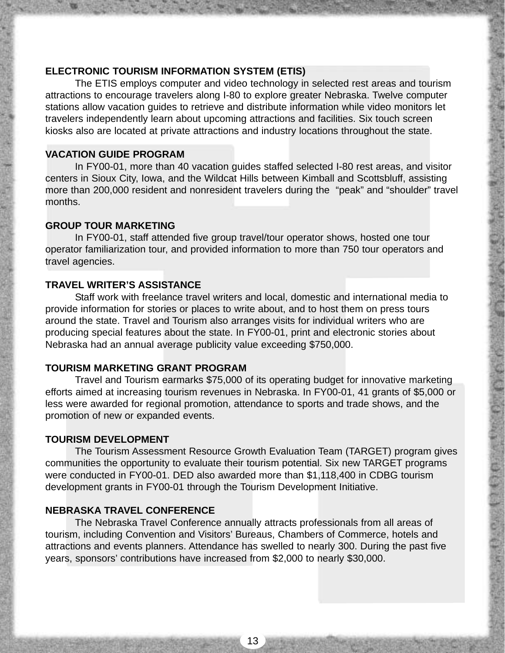## **ELECTRONIC TOURISM INFORMATION SYSTEM (ETIS)**

The ETIS employs computer and video technology in selected rest areas and tourism attractions to encourage travelers along I-80 to explore greater Nebraska. Twelve computer stations allow vacation guides to retrieve and distribute information while video monitors let travelers independently learn about upcoming attractions and facilities. Six touch screen kiosks also are located at private attractions and industry locations throughout the state.

## **VACATION GUIDE PROGRAM**

In FY00-01, more than 40 vacation guides staffed selected I-80 rest areas, and visitor centers in Sioux City, Iowa, and the Wildcat Hills between Kimball and Scottsbluff, assisting more than 200,000 resident and nonresident travelers during the "peak" and "shoulder" travel months.

### **GROUP TOUR MARKETING**

In FY00-01, staff attended five group travel/tour operator shows, hosted one tour operator familiarization tour, and provided information to more than 750 tour operators and travel agencies.

## **TRAVEL WRITER'S ASSISTANCE**

Staff work with freelance travel writers and local, domestic and international media to provide information for stories or places to write about, and to host them on press tours around the state. Travel and Tourism also arranges visits for individual writers who are producing special features about the state. In FY00-01, print and electronic stories about Nebraska had an annual average publicity value exceeding \$750,000.

## **TOURISM MARKETING GRANT PROGRAM**

Travel and Tourism earmarks \$75,000 of its operating budget for innovative marketing efforts aimed at increasing tourism revenues in Nebraska. In FY00-01, 41 grants of \$5,000 or less were awarded for regional promotion, attendance to sports and trade shows, and the promotion of new or expanded events.

## **TOURISM DEVELOPMENT**

The Tourism Assessment Resource Growth Evaluation Team (TARGET) program gives communities the opportunity to evaluate their tourism potential. Six new TARGET programs were conducted in FY00-01. DED also awarded more than \$1,118,400 in CDBG tourism development grants in FY00-01 through the Tourism Development Initiative.

## **NEBRASKA TRAVEL CONFERENCE**

The Nebraska Travel Conference annually attracts professionals from all areas of tourism, including Convention and Visitors' Bureaus, Chambers of Commerce, hotels and attractions and events planners. Attendance has swelled to nearly 300. During the past five years, sponsors' contributions have increased from \$2,000 to nearly \$30,000.